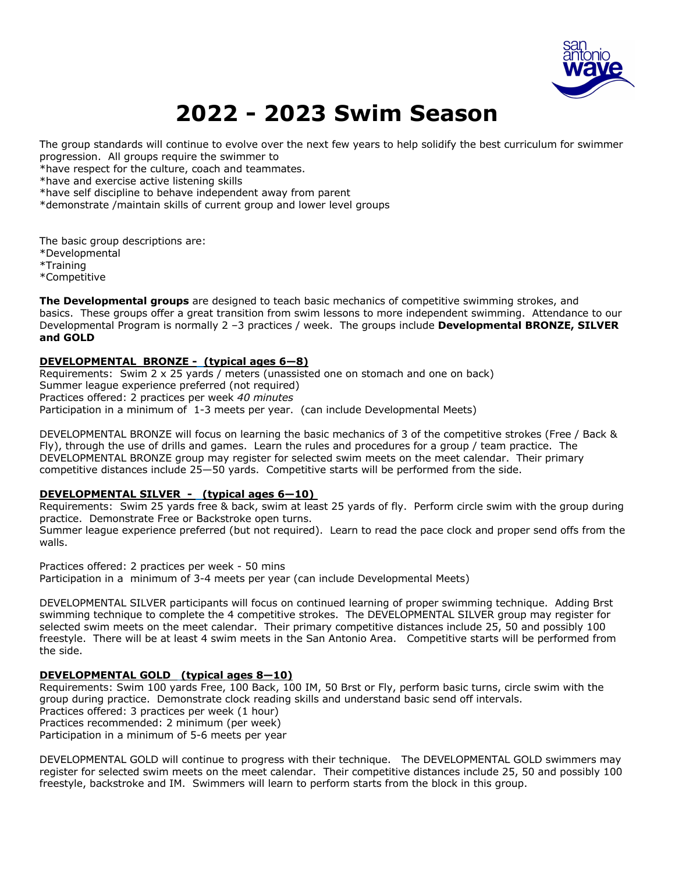

# **2022 - 2023 Swim Season**

The group standards will continue to evolve over the next few years to help solidify the best curriculum for swimmer progression. All groups require the swimmer to

\*have respect for the culture, coach and teammates.

\*have and exercise active listening skills

\*have self discipline to behave independent away from parent

\*demonstrate /maintain skills of current group and lower level groups

The basic group descriptions are:

\*Developmental

\*Training

\*Competitive

**The Developmental groups** are designed to teach basic mechanics of competitive swimming strokes, and basics. These groups offer a great transition from swim lessons to more independent swimming. Attendance to our Developmental Program is normally 2 –3 practices / week. The groups include **Developmental BRONZE, SILVER and GOLD** 

# **DEVELOPMENTAL BRONZE - (typical ages 6—8)**

Requirements: Swim 2 x 25 yards / meters (unassisted one on stomach and one on back) Summer league experience preferred (not required) Practices offered: 2 practices per week *40 minutes*  Participation in a minimum of 1-3 meets per year. (can include Developmental Meets)

DEVELOPMENTAL BRONZE will focus on learning the basic mechanics of 3 of the competitive strokes (Free / Back & Fly), through the use of drills and games. Learn the rules and procedures for a group / team practice. The DEVELOPMENTAL BRONZE group may register for selected swim meets on the meet calendar. Their primary competitive distances include 25—50 yards. Competitive starts will be performed from the side.

# **DEVELOPMENTAL SILVER - (typical ages 6—10)**

Requirements: Swim 25 yards free & back, swim at least 25 yards of fly. Perform circle swim with the group during practice. Demonstrate Free or Backstroke open turns. Summer league experience preferred (but not required). Learn to read the pace clock and proper send offs from the walls.

Practices offered: 2 practices per week - 50 mins Participation in a minimum of 3-4 meets per year (can include Developmental Meets)

DEVELOPMENTAL SILVER participants will focus on continued learning of proper swimming technique. Adding Brst swimming technique to complete the 4 competitive strokes. The DEVELOPMENTAL SILVER group may register for selected swim meets on the meet calendar. Their primary competitive distances include 25, 50 and possibly 100 freestyle. There will be at least 4 swim meets in the San Antonio Area. Competitive starts will be performed from the side.

# **DEVELOPMENTAL GOLD (typical ages 8—10)**

Requirements: Swim 100 yards Free, 100 Back, 100 IM, 50 Brst or Fly, perform basic turns, circle swim with the group during practice. Demonstrate clock reading skills and understand basic send off intervals. Practices offered: 3 practices per week (1 hour) Practices recommended: 2 minimum (per week) Participation in a minimum of 5-6 meets per year

DEVELOPMENTAL GOLD will continue to progress with their technique. The DEVELOPMENTAL GOLD swimmers may register for selected swim meets on the meet calendar. Their competitive distances include 25, 50 and possibly 100 freestyle, backstroke and IM. Swimmers will learn to perform starts from the block in this group.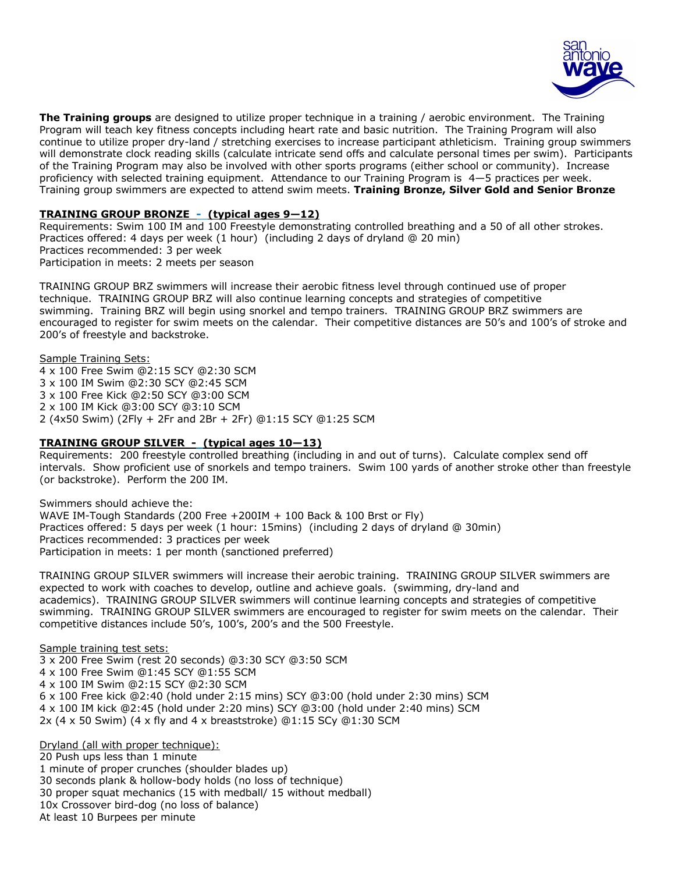

**The Training groups** are designed to utilize proper technique in a training / aerobic environment. The Training Program will teach key fitness concepts including heart rate and basic nutrition. The Training Program will also continue to utilize proper dry-land / stretching exercises to increase participant athleticism. Training group swimmers will demonstrate clock reading skills (calculate intricate send offs and calculate personal times per swim). Participants of the Training Program may also be involved with other sports programs (either school or community). Increase proficiency with selected training equipment. Attendance to our Training Program is 4—5 practices per week. Training group swimmers are expected to attend swim meets. **Training Bronze, Silver Gold and Senior Bronze**

## **TRAINING GROUP BRONZE - (typical ages 9—12)**

Requirements: Swim 100 IM and 100 Freestyle demonstrating controlled breathing and a 50 of all other strokes. Practices offered: 4 days per week (1 hour) (including 2 days of dryland @ 20 min) Practices recommended: 3 per week Participation in meets: 2 meets per season

TRAINING GROUP BRZ swimmers will increase their aerobic fitness level through continued use of proper technique. TRAINING GROUP BRZ will also continue learning concepts and strategies of competitive swimming. Training BRZ will begin using snorkel and tempo trainers. TRAINING GROUP BRZ swimmers are encouraged to register for swim meets on the calendar. Their competitive distances are 50's and 100's of stroke and 200's of freestyle and backstroke.

Sample Training Sets: 4 x 100 Free Swim @2:15 SCY @2:30 SCM 3 x 100 IM Swim @2:30 SCY @2:45 SCM 3 x 100 Free Kick @2:50 SCY @3:00 SCM 2 x 100 IM Kick @3:00 SCY @3:10 SCM 2 (4x50 Swim) (2Fly + 2Fr and 2Br + 2Fr) @1:15 SCY @1:25 SCM

#### **TRAINING GROUP SILVER - (typical ages 10—13)**

Requirements: 200 freestyle controlled breathing (including in and out of turns). Calculate complex send off intervals. Show proficient use of snorkels and tempo trainers. Swim 100 yards of another stroke other than freestyle (or backstroke). Perform the 200 IM.

Swimmers should achieve the: WAVE IM-Tough Standards (200 Free +200IM + 100 Back & 100 Brst or Fly) Practices offered: 5 days per week (1 hour: 15mins) (including 2 days of dryland @ 30min) Practices recommended: 3 practices per week Participation in meets: 1 per month (sanctioned preferred)

TRAINING GROUP SILVER swimmers will increase their aerobic training. TRAINING GROUP SILVER swimmers are expected to work with coaches to develop, outline and achieve goals. (swimming, dry-land and academics). TRAINING GROUP SILVER swimmers will continue learning concepts and strategies of competitive swimming. TRAINING GROUP SILVER swimmers are encouraged to register for swim meets on the calendar. Their competitive distances include 50's, 100's, 200's and the 500 Freestyle.

Sample training test sets: 3 x 200 Free Swim (rest 20 seconds) @3:30 SCY @3:50 SCM 4 x 100 Free Swim @1:45 SCY @1:55 SCM 4 x 100 IM Swim @2:15 SCY @2:30 SCM 6 x 100 Free kick @2:40 (hold under 2:15 mins) SCY @3:00 (hold under 2:30 mins) SCM 4 x 100 IM kick @2:45 (hold under 2:20 mins) SCY @3:00 (hold under 2:40 mins) SCM 2x (4 x 50 Swim) (4 x fly and 4 x breaststroke) @1:15 SCy @1:30 SCM

Dryland (all with proper technique): 20 Push ups less than 1 minute 1 minute of proper crunches (shoulder blades up) 30 seconds plank & hollow-body holds (no loss of technique) 30 proper squat mechanics (15 with medball/ 15 without medball) 10x Crossover bird-dog (no loss of balance) At least 10 Burpees per minute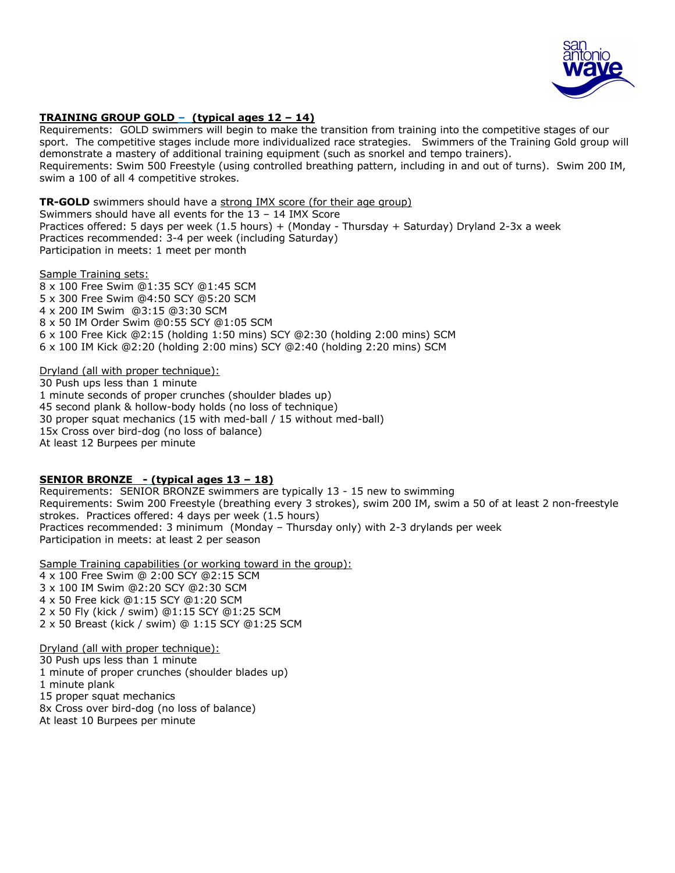

# **TRAINING GROUP GOLD – (typical ages 12 – 14)**

Requirements: GOLD swimmers will begin to make the transition from training into the competitive stages of our sport. The competitive stages include more individualized race strategies. Swimmers of the Training Gold group will demonstrate a mastery of additional training equipment (such as snorkel and tempo trainers). Requirements: Swim 500 Freestyle (using controlled breathing pattern, including in and out of turns). Swim 200 IM, swim a 100 of all 4 competitive strokes.

**TR-GOLD** swimmers should have a strong IMX score (for their age group) Swimmers should have all events for the 13 – 14 IMX Score Practices offered: 5 days per week (1.5 hours) + (Monday - Thursday + Saturday) Dryland 2-3x a week Practices recommended: 3-4 per week (including Saturday) Participation in meets: 1 meet per month

Sample Training sets:

8 x 100 Free Swim @1:35 SCY @1:45 SCM 5 x 300 Free Swim @4:50 SCY @5:20 SCM 4 x 200 IM Swim @3:15 @3:30 SCM 8 x 50 IM Order Swim @0:55 SCY @1:05 SCM 6 x 100 Free Kick @2:15 (holding 1:50 mins) SCY @2:30 (holding 2:00 mins) SCM 6 x 100 IM Kick @2:20 (holding 2:00 mins) SCY @2:40 (holding 2:20 mins) SCM

Dryland (all with proper technique):

30 Push ups less than 1 minute 1 minute seconds of proper crunches (shoulder blades up) 45 second plank & hollow-body holds (no loss of technique) 30 proper squat mechanics (15 with med-ball / 15 without med-ball) 15x Cross over bird-dog (no loss of balance) At least 12 Burpees per minute

# **SENIOR BRONZE - (typical ages 13 – 18)**

Requirements: SENIOR BRONZE swimmers are typically 13 - 15 new to swimming Requirements: Swim 200 Freestyle (breathing every 3 strokes), swim 200 IM, swim a 50 of at least 2 non-freestyle strokes. Practices offered: 4 days per week (1.5 hours) Practices recommended: 3 minimum (Monday – Thursday only) with 2-3 drylands per week Participation in meets: at least 2 per season

Sample Training capabilities (or working toward in the group): 4 x 100 Free Swim @ 2:00 SCY @2:15 SCM 3 x 100 IM Swim @2:20 SCY @2:30 SCM 4 x 50 Free kick @1:15 SCY @1:20 SCM 2 x 50 Fly (kick / swim) @1:15 SCY @1:25 SCM 2 x 50 Breast (kick / swim) @ 1:15 SCY @1:25 SCM

Dryland (all with proper technique): 30 Push ups less than 1 minute 1 minute of proper crunches (shoulder blades up) 1 minute plank 15 proper squat mechanics 8x Cross over bird-dog (no loss of balance) At least 10 Burpees per minute